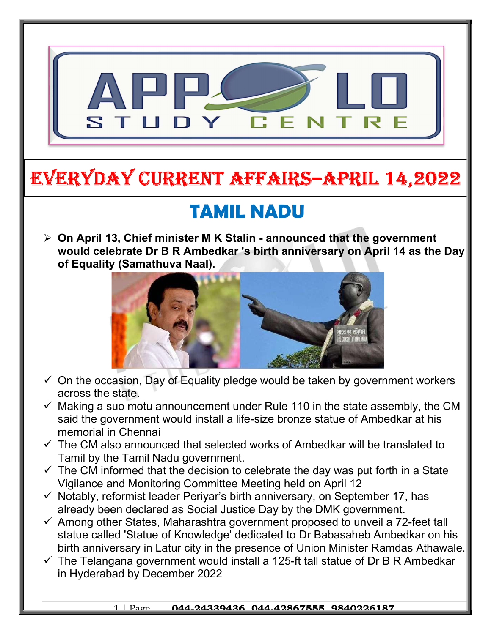

# EVERYDAY CURRENT AFFAIRS–ApRIl 14,2022

## TAMIL NADU

 $\triangleright$  On April 13, Chief minister M K Stalin - announced that the government would celebrate Dr B R Ambedkar 's birth anniversary on April 14 as the Day of Equality (Samathuva Naal).



- $\checkmark$  On the occasion, Day of Equality pledge would be taken by government workers across the state.
- $\checkmark$  Making a suo motu announcement under Rule 110 in the state assembly, the CM said the government would install a life-size bronze statue of Ambedkar at his memorial in Chennai
- $\checkmark$  The CM also announced that selected works of Ambedkar will be translated to Tamil by the Tamil Nadu government.
- $\checkmark$  The CM informed that the decision to celebrate the day was put forth in a State Vigilance and Monitoring Committee Meeting held on April 12
- $\checkmark$  Notably, reformist leader Periyar's birth anniversary, on September 17, has already been declared as Social Justice Day by the DMK government.
- $\checkmark$  Among other States, Maharashtra government proposed to unveil a 72-feet tall statue called 'Statue of Knowledge' dedicated to Dr Babasaheb Ambedkar on his birth anniversary in Latur city in the presence of Union Minister Ramdas Athawale.
- $\checkmark$  The Telangana government would install a 125-ft tall statue of Dr B R Ambedkar in Hyderabad by December 2022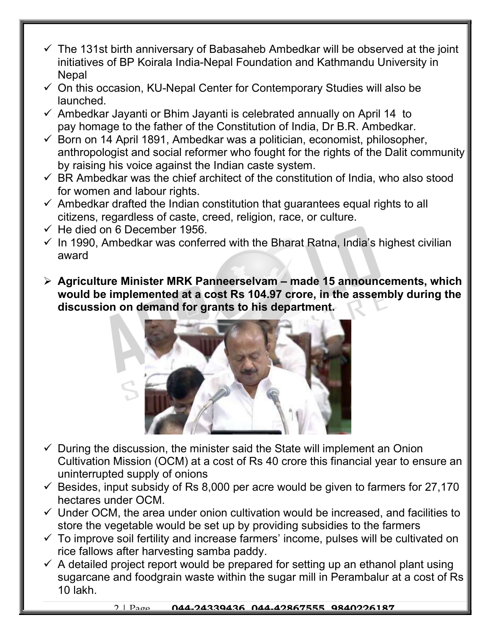- $\checkmark$  The 131st birth anniversary of Babasaheb Ambedkar will be observed at the joint initiatives of BP Koirala India-Nepal Foundation and Kathmandu University in **Nepal**
- $\checkmark$  On this occasion, KU-Nepal Center for Contemporary Studies will also be launched.
- $\checkmark$  Ambedkar Jayanti or Bhim Jayanti is celebrated annually on April 14 to pay homage to the father of the Constitution of India, Dr B.R. Ambedkar.
- $\checkmark$  Born on 14 April 1891, Ambedkar was a politician, economist, philosopher, anthropologist and social reformer who fought for the rights of the Dalit community by raising his voice against the Indian caste system.
- $\checkmark$  BR Ambedkar was the chief architect of the constitution of India, who also stood for women and labour rights.
- $\checkmark$  Ambedkar drafted the Indian constitution that guarantees equal rights to all citizens, regardless of caste, creed, religion, race, or culture.
- $\checkmark$  He died on 6 December 1956.
- $\checkmark$  In 1990, Ambedkar was conferred with the Bharat Ratna, India's highest civilian award
- $\triangleright$  Agriculture Minister MRK Panneerselvam made 15 announcements, which would be implemented at a cost Rs 104.97 crore, in the assembly during the discussion on demand for grants to his department.



- $\checkmark$  During the discussion, the minister said the State will implement an Onion Cultivation Mission (OCM) at a cost of Rs 40 crore this financial year to ensure an uninterrupted supply of onions
- $\checkmark$  Besides, input subsidy of Rs 8,000 per acre would be given to farmers for 27,170 hectares under OCM.
- $\checkmark$  Under OCM, the area under onion cultivation would be increased, and facilities to store the vegetable would be set up by providing subsidies to the farmers
- $\checkmark$  To improve soil fertility and increase farmers' income, pulses will be cultivated on rice fallows after harvesting samba paddy.
- $\checkmark$  A detailed project report would be prepared for setting up an ethanol plant using sugarcane and foodgrain waste within the sugar mill in Perambalur at a cost of Rs 10 lakh.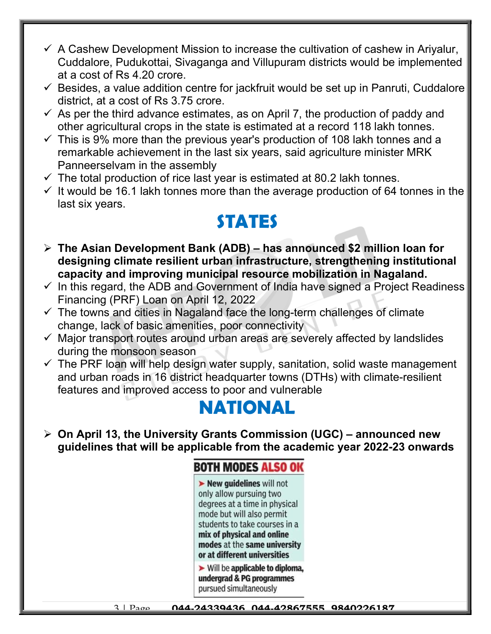- $\checkmark$  A Cashew Development Mission to increase the cultivation of cashew in Ariyalur, Cuddalore, Pudukottai, Sivaganga and Villupuram districts would be implemented at a cost of Rs 4.20 crore.
- $\checkmark$  Besides, a value addition centre for jackfruit would be set up in Panruti, Cuddalore district, at a cost of Rs 3.75 crore.
- $\checkmark$  As per the third advance estimates, as on April 7, the production of paddy and other agricultural crops in the state is estimated at a record 118 lakh tonnes.
- $\checkmark$  This is 9% more than the previous year's production of 108 lakh tonnes and a remarkable achievement in the last six years, said agriculture minister MRK Panneerselvam in the assembly
- $\checkmark$  The total production of rice last year is estimated at 80.2 lakh tonnes.
- $\checkmark$  It would be 16.1 lakh tonnes more than the average production of 64 tonnes in the last six years.

### STATES

- $\triangleright$  The Asian Development Bank (ADB) has announced \$2 million loan for designing climate resilient urban infrastructure, strengthening institutional capacity and improving municipal resource mobilization in Nagaland.
- $\checkmark$  In this regard, the ADB and Government of India have signed a Project Readiness Financing (PRF) Loan on April 12, 2022
- $\checkmark$  The towns and cities in Nagaland face the long-term challenges of climate change, lack of basic amenities, poor connectivity
- $\checkmark$  Major transport routes around urban areas are severely affected by landslides during the monsoon season
- $\checkmark$  The PRF loan will help design water supply, sanitation, solid waste management and urban roads in 16 district headquarter towns (DTHs) with climate-resilient features and improved access to poor and vulnerable

### NATIONAL

 $\geq$  On April 13, the University Grants Commission (UGC) – announced new guidelines that will be applicable from the academic year 2022-23 onwards

#### **BOTH MODES ALSO OK**

New quidelines will not only allow pursuing two degrees at a time in physical mode but will also permit students to take courses in a mix of physical and online modes at the same university or at different universities

 $\triangleright$  Will be applicable to diploma, undergrad & PG programmes pursued simultaneously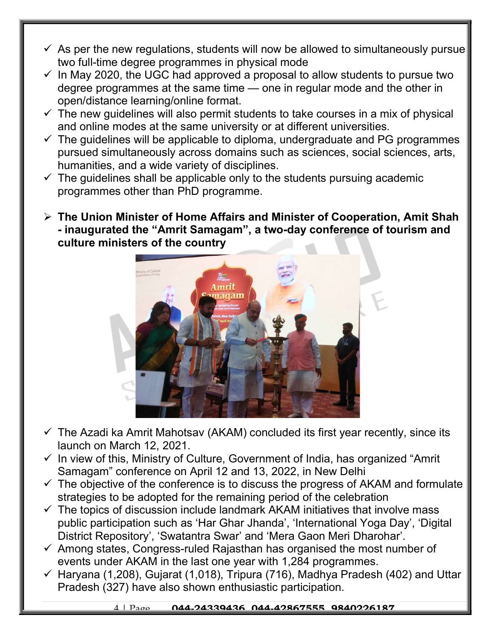- $\checkmark$  As per the new regulations, students will now be allowed to simultaneously pursue two full-time degree programmes in physical mode
- $\checkmark$  In May 2020, the UGC had approved a proposal to allow students to pursue two degree programmes at the same time — one in regular mode and the other in open/distance learning/online format.
- $\checkmark$  The new guidelines will also permit students to take courses in a mix of physical and online modes at the same university or at different universities.
- $\checkmark$  The guidelines will be applicable to diploma, undergraduate and PG programmes pursued simultaneously across domains such as sciences, social sciences, arts, humanities, and a wide variety of disciplines.
- $\checkmark$  The guidelines shall be applicable only to the students pursuing academic programmes other than PhD programme.
- $\triangleright$  The Union Minister of Home Affairs and Minister of Cooperation, Amit Shah - inaugurated the "Amrit Samagam", a two-day conference of tourism and culture ministers of the country



- $\checkmark$  The Azadi ka Amrit Mahotsav (AKAM) concluded its first year recently, since its launch on March 12, 2021.
- $\checkmark$  In view of this, Ministry of Culture, Government of India, has organized "Amrit Samagam" conference on April 12 and 13, 2022, in New Delhi
- $\checkmark$  The objective of the conference is to discuss the progress of AKAM and formulate strategies to be adopted for the remaining period of the celebration
- $\checkmark$  The topics of discussion include landmark AKAM initiatives that involve mass public participation such as 'Har Ghar Jhanda', 'International Yoga Day', 'Digital District Repository', 'Swatantra Swar' and 'Mera Gaon Meri Dharohar'.
- $\checkmark$  Among states, Congress-ruled Rajasthan has organised the most number of events under AKAM in the last one year with 1,284 programmes.
- $\checkmark$  Haryana (1,208), Gujarat (1,018), Tripura (716), Madhya Pradesh (402) and Uttar Pradesh (327) have also shown enthusiastic participation.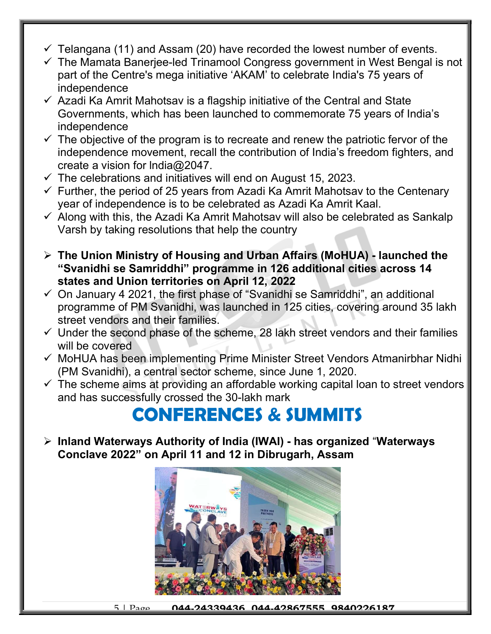- $\checkmark$  Telangana (11) and Assam (20) have recorded the lowest number of events.
- $\checkmark$  The Mamata Banerjee-led Trinamool Congress government in West Bengal is not part of the Centre's mega initiative 'AKAM' to celebrate India's 75 years of independence
- $\checkmark$  Azadi Ka Amrit Mahotsav is a flagship initiative of the Central and State Governments, which has been launched to commemorate 75 years of India's independence
- $\checkmark$  The objective of the program is to recreate and renew the patriotic fervor of the independence movement, recall the contribution of India's freedom fighters, and create a vision for lndia@2047.
- $\checkmark$  The celebrations and initiatives will end on August 15, 2023.
- $\checkmark$  Further, the period of 25 years from Azadi Ka Amrit Mahotsav to the Centenary year of independence is to be celebrated as Azadi Ka Amrit Kaal.
- $\checkmark$  Along with this, the Azadi Ka Amrit Mahotsav will also be celebrated as Sankalp Varsh by taking resolutions that help the country
- The Union Ministry of Housing and Urban Affairs (MoHUA) launched the "Svanidhi se Samriddhi" programme in 126 additional cities across 14 states and Union territories on April 12, 2022
- $\checkmark$  On January 4 2021, the first phase of "Svanidhi se Samriddhi", an additional programme of PM Svanidhi, was launched in 125 cities, covering around 35 lakh street vendors and their families.
- $\checkmark$  Under the second phase of the scheme, 28 lakh street vendors and their families will be covered
- $\checkmark$  MoHUA has been implementing Prime Minister Street Vendors Atmanirbhar Nidhi (PM Svanidhi), a central sector scheme, since June 1, 2020.
- $\checkmark$  The scheme aims at providing an affordable working capital loan to street vendors and has successfully crossed the 30-lakh mark

### CONFERENCES & SUMMITS

 $\triangleright$  Inland Waterways Authority of India (IWAI) - has organized "Waterways Conclave 2022" on April 11 and 12 in Dibrugarh, Assam

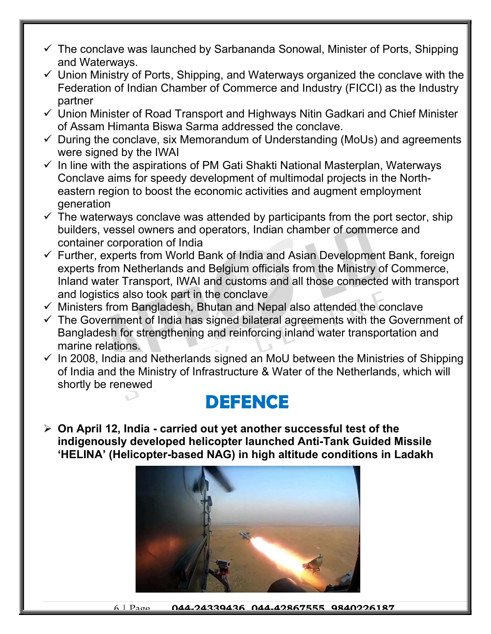- $\checkmark$  The conclave was launched by Sarbananda Sonowal, Minister of Ports, Shipping and Waterways.
- $\checkmark$  Union Ministry of Ports, Shipping, and Waterways organized the conclave with the Federation of Indian Chamber of Commerce and Industry (FICCI) as the Industry partner
- Union Minister of Road Transport and Highways Nitin Gadkari and Chief Minister of Assam Himanta Biswa Sarma addressed the conclave.
- $\checkmark$  During the conclave, six Memorandum of Understanding (MoUs) and agreements were signed by the IWAI
- $\checkmark$  In line with the aspirations of PM Gati Shakti National Masterplan, Waterways Conclave aims for speedy development of multimodal projects in the Northeastern region to boost the economic activities and augment employment generation
- $\checkmark$  The waterways conclave was attended by participants from the port sector, ship builders, vessel owners and operators, Indian chamber of commerce and container corporation of India
- $\checkmark$  Further, experts from World Bank of India and Asian Development Bank, foreign experts from Netherlands and Belgium officials from the Ministry of Commerce, Inland water Transport, IWAI and customs and all those connected with transport and logistics also took part in the conclave
- $\checkmark$  Ministers from Bangladesh, Bhutan and Nepal also attended the conclave
- $\checkmark$  The Government of India has signed bilateral agreements with the Government of Bangladesh for strengthening and reinforcing inland water transportation and marine relations.
- $\checkmark$  In 2008, India and Netherlands signed an MoU between the Ministries of Shipping of India and the Ministry of Infrastructure & Water of the Netherlands, which will shortly be renewed

### DEFENCE

 $\triangleright$  On April 12, India - carried out yet another successful test of the indigenously developed helicopter launched Anti-Tank Guided Missile 'HELINA' (Helicopter-based NAG) in high altitude conditions in Ladakh

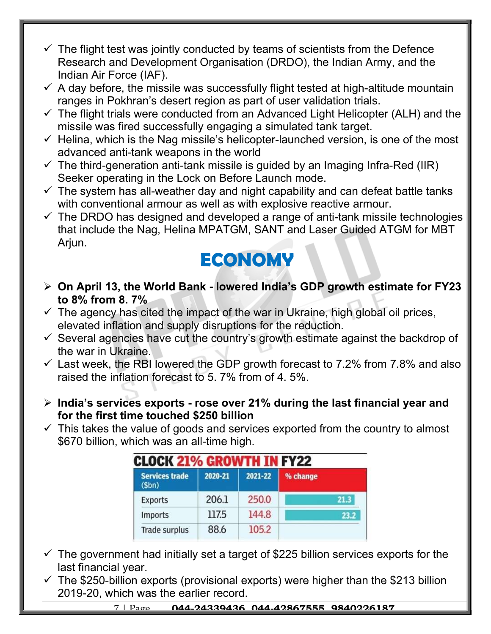- $\checkmark$  The flight test was jointly conducted by teams of scientists from the Defence Research and Development Organisation (DRDO), the Indian Army, and the Indian Air Force (IAF).
- $\checkmark$  A day before, the missile was successfully flight tested at high-altitude mountain ranges in Pokhran's desert region as part of user validation trials.
- $\checkmark$  The flight trials were conducted from an Advanced Light Helicopter (ALH) and the missile was fired successfully engaging a simulated tank target.
- $\checkmark$  Helina, which is the Nag missile's helicopter-launched version, is one of the most advanced anti-tank weapons in the world
- $\checkmark$  The third-generation anti-tank missile is guided by an Imaging Infra-Red (IIR) Seeker operating in the Lock on Before Launch mode.
- $\checkmark$  The system has all-weather day and night capability and can defeat battle tanks with conventional armour as well as with explosive reactive armour.
- $\checkmark$  The DRDO has designed and developed a range of anti-tank missile technologies that include the Nag, Helina MPATGM, SANT and Laser Guided ATGM for MBT Arjun.

### **ECONOMY**

- $\triangleright$  On April 13, the World Bank lowered India's GDP growth estimate for FY23 to 8% from 8. 7%
- $\checkmark$  The agency has cited the impact of the war in Ukraine, high global oil prices, elevated inflation and supply disruptions for the reduction.
- $\checkmark$  Several agencies have cut the country's growth estimate against the backdrop of the war in Ukraine.
- $\checkmark$  Last week, the RBI lowered the GDP growth forecast to 7.2% from 7.8% and also raised the inflation forecast to 5. 7% from of 4. 5%.
- $\triangleright$  India's services exports rose over 21% during the last financial year and for the first time touched \$250 billion
- $\checkmark$  This takes the value of goods and services exported from the country to almost \$670 billion, which was an all-time high.

| <b>CLOCK 21% GROWTH IN FY22</b> |         |         |          |
|---------------------------------|---------|---------|----------|
| <b>Services trade</b><br>\$bn)  | 2020-21 | 2021-22 | % change |
| <b>Exports</b>                  | 206.1   | 250.0   | 21.3     |
| Imports                         | 117.5   | 144.8   | 23.2     |
| Trade surplus                   | 88.6    | 105.2   |          |

- $\checkmark$  The government had initially set a target of \$225 billion services exports for the last financial year.
- $\checkmark$  The \$250-billion exports (provisional exports) were higher than the \$213 billion 2019-20, which was the earlier record.